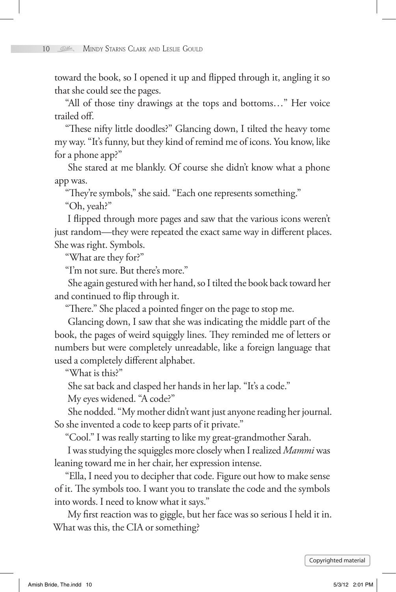toward the book, so I opened it up and flipped through it, angling it so that she could see the pages.

"All of those tiny drawings at the tops and bottoms…" Her voice trailed off.

"These nifty little doodles?" Glancing down, I tilted the heavy tome my way. "It's funny, but they kind of remind me of icons. You know, like for a phone app?"

She stared at me blankly. Of course she didn't know what a phone app was.

"They're symbols," she said. "Each one represents something."

"Oh, yeah?"

I flipped through more pages and saw that the various icons weren't just random—they were repeated the exact same way in different places. She was right. Symbols.

"What are they for?"

"I'm not sure. But there's more."

She again gestured with her hand, so I tilted the book back toward her and continued to flip through it.

"There." She placed a pointed finger on the page to stop me.

Glancing down, I saw that she was indicating the middle part of the book, the pages of weird squiggly lines. They reminded me of letters or numbers but were completely unreadable, like a foreign language that used a completely different alphabet.

"What is this?"

She sat back and clasped her hands in her lap. "It's a code."

My eyes widened. "A code?"

She nodded. "My mother didn't want just anyone reading her journal. So she invented a code to keep parts of it private."

"Cool." I was really starting to like my great-grandmother Sarah.

I was studying the squiggles more closely when I realized *Mammi* was leaning toward me in her chair, her expression intense.

"Ella, I need you to decipher that code. Figure out how to make sense of it. The symbols too. I want you to translate the code and the symbols into words. I need to know what it says."

My first reaction was to giggle, but her face was so serious I held it in. What was this, the CIA or something?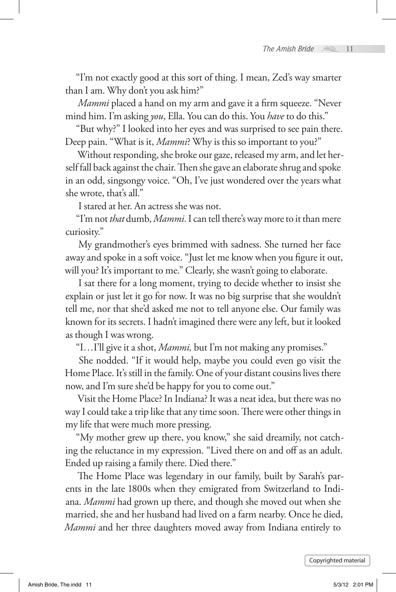"I'm not exactly good at this sort of thing. I mean, Zed's way smarter than I am. Why don't you ask him?"

*Mammi* placed a hand on my arm and gave it a firm squeeze. "Never mind him. I'm asking *you*, Ella. You can do this. You *have* to do this."

"But why?" I looked into her eyes and was surprised to see pain there. Deep pain. "What is it, *Mammi*? Why is this so important to you?"

Without responding, she broke our gaze, released my arm, and let herself fall back against the chair. Then she gave an elaborate shrug and spoke in an odd, singsongy voice. "Oh, I've just wondered over the years what she wrote, that's all."

I stared at her. An actress she was not.

"I'm not *that* dumb, *Mammi*. I can tell there's way more to it than mere curiosity."

My grandmother's eyes brimmed with sadness. She turned her face away and spoke in a soft voice. "Just let me know when you figure it out, will you? It's important to me." Clearly, she wasn't going to elaborate.

I sat there for a long moment, trying to decide whether to insist she explain or just let it go for now. It was no big surprise that she wouldn't tell me, nor that she'd asked me not to tell anyone else. Our family was known for its secrets. I hadn't imagined there were any left, but it looked as though I was wrong.

"I…I'll give it a shot, *Mammi,* but I'm not making any promises."

She nodded. "If it would help, maybe you could even go visit the Home Place. It's still in the family. One of your distant cousins lives there now, and I'm sure she'd be happy for you to come out."

Visit the Home Place? In Indiana? It was a neat idea, but there was no way I could take a trip like that any time soon. There were other things in my life that were much more pressing.

"My mother grew up there, you know," she said dreamily, not catching the reluctance in my expression. "Lived there on and off as an adult. Ended up raising a family there. Died there."

The Home Place was legendary in our family, built by Sarah's parents in the late 1800s when they emigrated from Switzerland to Indiana. *Mammi* had grown up there, and though she moved out when she married, she and her husband had lived on a farm nearby. Once he died, *Mammi* and her three daughters moved away from Indiana entirely to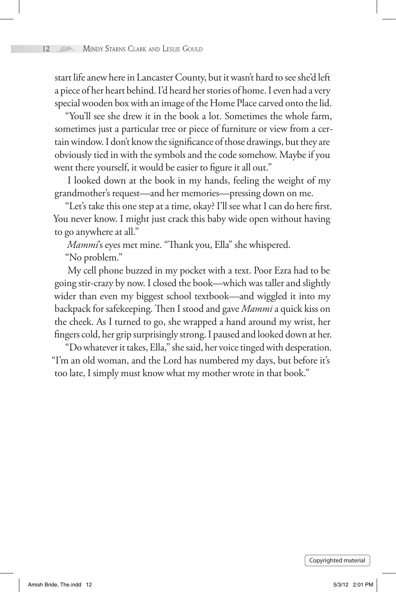start life anew here in Lancaster County, but it wasn't hard to see she'd left a piece of her heart behind. I'd heard her stories of home. I even had a very special wooden box with an image of the Home Place carved onto the lid.

"You'll see she drew it in the book a lot. Sometimes the whole farm, sometimes just a particular tree or piece of furniture or view from a certain window. I don't know the significance of those drawings, but they are obviously tied in with the symbols and the code somehow. Maybe if you went there yourself, it would be easier to figure it all out."

I looked down at the book in my hands, feeling the weight of my grandmother's request—and her memories—pressing down on me.

"Let's take this one step at a time, okay? I'll see what I can do here first. You never know. I might just crack this baby wide open without having to go anywhere at all."

*Mammi*'s eyes met mine. "Thank you, Ella" she whispered.

"No problem."

My cell phone buzzed in my pocket with a text. Poor Ezra had to be going stir-crazy by now. I closed the book—which was taller and slightly wider than even my biggest school textbook—and wiggled it into my backpack for safekeeping. Then I stood and gave *Mammi* a quick kiss on the cheek. As I turned to go, she wrapped a hand around my wrist, her fingers cold, her grip surprisingly strong. I paused and looked down at her.

"Do whatever it takes, Ella," she said, her voice tinged with desperation. "I'm an old woman, and the Lord has numbered my days, but before it's too late, I simply must know what my mother wrote in that book."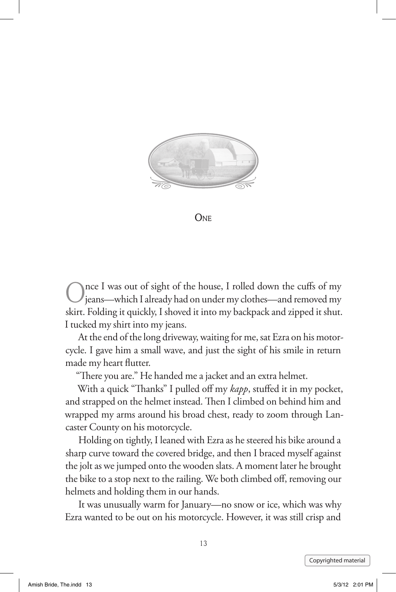



Once I was out of sight of the house, I rolled down the cuffs of my jeans—which I already had on under my clothes—and removed my skirt. Folding it quickly, I shoved it into my backpack and zipped it shut. I tucked my shirt into my jeans.

At the end of the long driveway, waiting for me, sat Ezra on his motorcycle. I gave him a small wave, and just the sight of his smile in return made my heart flutter.

"There you are." He handed me a jacket and an extra helmet.

With a quick "Thanks" I pulled off my *kapp*, stuffed it in my pocket, and strapped on the helmet instead. Then I climbed on behind him and wrapped my arms around his broad chest, ready to zoom through Lancaster County on his motorcycle.

Holding on tightly, I leaned with Ezra as he steered his bike around a sharp curve toward the covered bridge, and then I braced myself against the jolt as we jumped onto the wooden slats. A moment later he brought the bike to a stop next to the railing. We both climbed off, removing our helmets and holding them in our hands.

It was unusually warm for January—no snow or ice, which was why Ezra wanted to be out on his motorcycle. However, it was still crisp and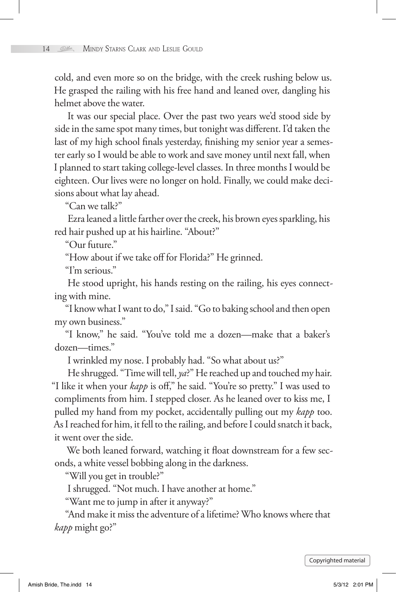cold, and even more so on the bridge, with the creek rushing below us. He grasped the railing with his free hand and leaned over, dangling his helmet above the water.

It was our special place. Over the past two years we'd stood side by side in the same spot many times, but tonight was different. I'd taken the last of my high school finals yesterday, finishing my senior year a semester early so I would be able to work and save money until next fall, when I planned to start taking college-level classes. In three months I would be eighteen. Our lives were no longer on hold. Finally, we could make decisions about what lay ahead.

"Can we talk?"

Ezra leaned a little farther over the creek, his brown eyes sparkling, his red hair pushed up at his hairline. "About?"

"Our future."

"How about if we take off for Florida?" He grinned.

"I'm serious."

He stood upright, his hands resting on the railing, his eyes connecting with mine.

"I know what I want to do," I said. "Go to baking school and then open my own business."

"I know," he said. "You've told me a dozen—make that a baker's dozen—times."

I wrinkled my nose. I probably had. "So what about us?"

He shrugged. "Time will tell, *ya*?" He reached up and touched my hair. "I like it when your *kapp* is off," he said. "You're so pretty." I was used to compliments from him. I stepped closer. As he leaned over to kiss me, I pulled my hand from my pocket, accidentally pulling out my *kapp* too. As I reached for him, it fell to the railing, and before I could snatch it back, it went over the side.

We both leaned forward, watching it float downstream for a few seconds, a white vessel bobbing along in the darkness.

"Will you get in trouble?"

I shrugged. "Not much. I have another at home."

"Want me to jump in after it anyway?"

"And make it miss the adventure of a lifetime? Who knows where that *kapp* might go?"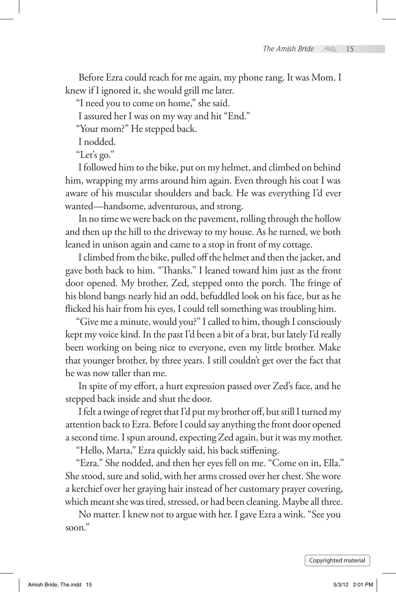Before Ezra could reach for me again, my phone rang. It was Mom. I knew if I ignored it, she would grill me later.

"I need you to come on home," she said.

I assured her I was on my way and hit "End."

"Your mom?" He stepped back.

I nodded.

"Let's go."

I followed him to the bike, put on my helmet, and climbed on behind him, wrapping my arms around him again. Even through his coat I was aware of his muscular shoulders and back. He was everything I'd ever wanted—handsome, adventurous, and strong.

In no time we were back on the pavement, rolling through the hollow and then up the hill to the driveway to my house. As he turned, we both leaned in unison again and came to a stop in front of my cottage.

I climbed from the bike, pulled off the helmet and then the jacket, and gave both back to him. "Thanks." I leaned toward him just as the front door opened. My brother, Zed, stepped onto the porch. The fringe of his blond bangs nearly hid an odd, befuddled look on his face, but as he flicked his hair from his eyes, I could tell something was troubling him.

"Give me a minute, would you?" I called to him, though I consciously kept my voice kind. In the past I'd been a bit of a brat, but lately I'd really been working on being nice to everyone, even my little brother. Make that younger brother, by three years. I still couldn't get over the fact that he was now taller than me.

In spite of my effort, a hurt expression passed over Zed's face, and he stepped back inside and shut the door.

I felt a twinge of regret that I'd put my brother off, but still I turned my attention back to Ezra. Before I could say anything the front door opened a second time. I spun around, expecting Zed again, but it was my mother.

"Hello, Marta," Ezra quickly said, his back stiffening.

"Ezra." She nodded, and then her eyes fell on me. "Come on in, Ella." She stood, sure and solid, with her arms crossed over her chest. She wore a kerchief over her graying hair instead of her customary prayer covering, which meant she was tired, stressed, or had been cleaning. Maybe all three.

No matter. I knew not to argue with her. I gave Ezra a wink. "See you soon."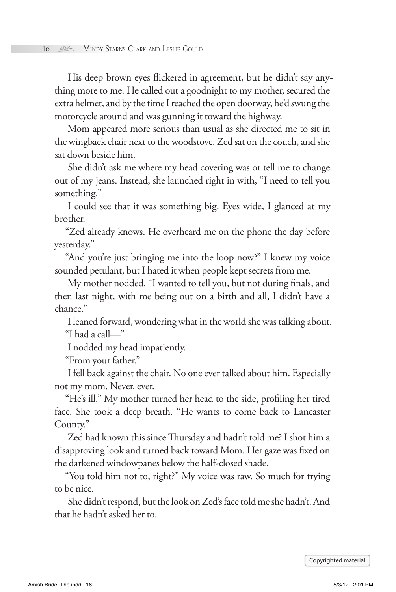His deep brown eyes flickered in agreement, but he didn't say anything more to me. He called out a goodnight to my mother, secured the extra helmet, and by the time I reached the open doorway, he'd swung the motorcycle around and was gunning it toward the highway.

Mom appeared more serious than usual as she directed me to sit in the wingback chair next to the woodstove. Zed sat on the couch, and she sat down beside him.

She didn't ask me where my head covering was or tell me to change out of my jeans. Instead, she launched right in with, "I need to tell you something."

I could see that it was something big. Eyes wide, I glanced at my brother.

"Zed already knows. He overheard me on the phone the day before yesterday."

"And you're just bringing me into the loop now?" I knew my voice sounded petulant, but I hated it when people kept secrets from me.

My mother nodded. "I wanted to tell you, but not during finals, and then last night, with me being out on a birth and all, I didn't have a chance."

I leaned forward, wondering what in the world she was talking about. "I had a call—"

I nodded my head impatiently.

"From your father."

I fell back against the chair. No one ever talked about him. Especially not my mom. Never, ever.

"He's ill." My mother turned her head to the side, profiling her tired face. She took a deep breath. "He wants to come back to Lancaster County."

Zed had known this since Thursday and hadn't told me? I shot him a disapproving look and turned back toward Mom. Her gaze was fixed on the darkened windowpanes below the half-closed shade.

"You told him not to, right?" My voice was raw. So much for trying to be nice.

She didn't respond, but the look on Zed's face told me she hadn't. And that he hadn't asked her to.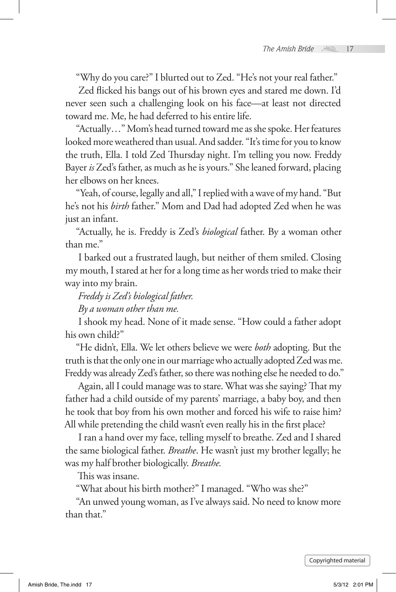"Why do you care?" I blurted out to Zed. "He's not your real father."

Zed flicked his bangs out of his brown eyes and stared me down. I'd never seen such a challenging look on his face—at least not directed toward me. Me, he had deferred to his entire life.

"Actually…" Mom's head turned toward me as she spoke. Her features looked more weathered than usual. And sadder. "It's time for you to know the truth, Ella. I told Zed Thursday night. I'm telling you now. Freddy Bayer *is* Zed's father, as much as he is yours." She leaned forward, placing her elbows on her knees.

"Yeah, of course, legally and all," I replied with a wave of my hand. "But he's not his *birth* father." Mom and Dad had adopted Zed when he was just an infant.

"Actually, he is. Freddy is Zed's *biological* father. By a woman other than me."

I barked out a frustrated laugh, but neither of them smiled. Closing my mouth, I stared at her for a long time as her words tried to make their way into my brain.

*Freddy is Zed's biological father.* 

*By a woman other than me.*

I shook my head. None of it made sense. "How could a father adopt his own child?"

"He didn't, Ella. We let others believe we were *both* adopting. But the truth is that the only one in our marriage who actually adopted Zed was me. Freddy was already Zed's father, so there was nothing else he needed to do."

Again, all I could manage was to stare. What was she saying? That my father had a child outside of my parents' marriage, a baby boy, and then he took that boy from his own mother and forced his wife to raise him? All while pretending the child wasn't even really his in the first place?

I ran a hand over my face, telling myself to breathe. Zed and I shared the same biological father. *Breathe*. He wasn't just my brother legally; he was my half brother biologically. *Breathe.*

This was insane.

"What about his birth mother?" I managed. "Who was she?"

"An unwed young woman, as I've always said. No need to know more than that."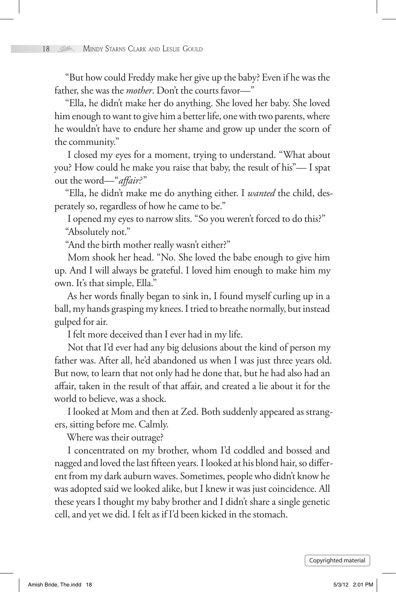"But how could Freddy make her give up the baby? Even if he was the father, she was the *mother*. Don't the courts favor—"

"Ella, he didn't make her do anything. She loved her baby. She loved him enough to want to give him a better life, one with two parents, where he wouldn't have to endure her shame and grow up under the scorn of the community."

I closed my eyes for a moment, trying to understand. "What about you? How could he make you raise that baby, the result of his"— I spat out the word—"*affair?* "

"Ella, he didn't make me do anything either. I *wanted* the child, desperately so, regardless of how he came to be."

I opened my eyes to narrow slits. "So you weren't forced to do this?" "Absolutely not."

"And the birth mother really wasn't either?"

Mom shook her head. "No. She loved the babe enough to give him up. And I will always be grateful. I loved him enough to make him my own. It's that simple, Ella."

As her words finally began to sink in, I found myself curling up in a ball, my hands grasping my knees. I tried to breathe normally, but instead gulped for air.

I felt more deceived than I ever had in my life.

Not that I'd ever had any big delusions about the kind of person my father was. After all, he'd abandoned us when I was just three years old. But now, to learn that not only had he done that, but he had also had an affair, taken in the result of that affair, and created a lie about it for the world to believe, was a shock.

I looked at Mom and then at Zed. Both suddenly appeared as strangers, sitting before me. Calmly.

Where was their outrage?

I concentrated on my brother, whom I'd coddled and bossed and nagged and loved the last fifteen years. I looked at his blond hair, so different from my dark auburn waves. Sometimes, people who didn't know he was adopted said we looked alike, but I knew it was just coincidence. All these years I thought my baby brother and I didn't share a single genetic cell, and yet we did. I felt as if I'd been kicked in the stomach.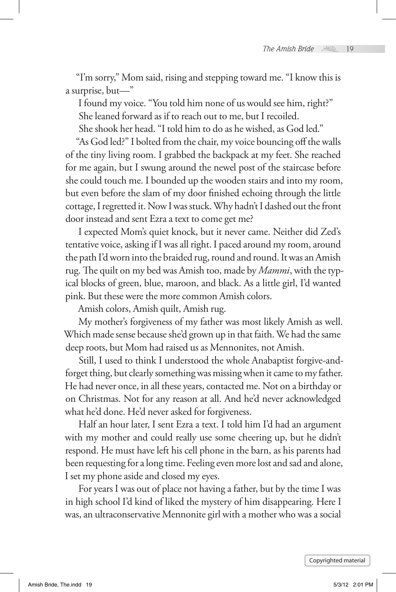"I'm sorry," Mom said, rising and stepping toward me. "I know this is a surprise, but—"

I found my voice. "You told him none of us would see him, right?" She leaned forward as if to reach out to me, but I recoiled.

She shook her head. "I told him to do as he wished, as God led."

"As God led?" I bolted from the chair, my voice bouncing off the walls of the tiny living room. I grabbed the backpack at my feet. She reached for me again, but I swung around the newel post of the staircase before she could touch me. I bounded up the wooden stairs and into my room, but even before the slam of my door finished echoing through the little cottage, I regretted it. Now I was stuck. Why hadn't I dashed out the front door instead and sent Ezra a text to come get me?

I expected Mom's quiet knock, but it never came. Neither did Zed's tentative voice, asking if I was all right. I paced around my room, around the path I'd worn into the braided rug, round and round. It was an Amish rug. The quilt on my bed was Amish too, made by *Mammi*, with the typical blocks of green, blue, maroon, and black. As a little girl, I'd wanted pink. But these were the more common Amish colors.

Amish colors, Amish quilt, Amish rug.

My mother's forgiveness of my father was most likely Amish as well. Which made sense because she'd grown up in that faith. We had the same deep roots, but Mom had raised us as Mennonites, not Amish.

Still, I used to think I understood the whole Anabaptist forgive-andforget thing, but clearly something was missing when it came to my father. He had never once, in all these years, contacted me. Not on a birthday or on Christmas. Not for any reason at all. And he'd never acknowledged what he'd done. He'd never asked for forgiveness.

Half an hour later, I sent Ezra a text. I told him I'd had an argument with my mother and could really use some cheering up, but he didn't respond. He must have left his cell phone in the barn, as his parents had been requesting for a long time. Feeling even more lost and sad and alone, I set my phone aside and closed my eyes.

For years I was out of place not having a father, but by the time I was in high school I'd kind of liked the mystery of him disappearing. Here I was, an ultraconservative Mennonite girl with a mother who was a social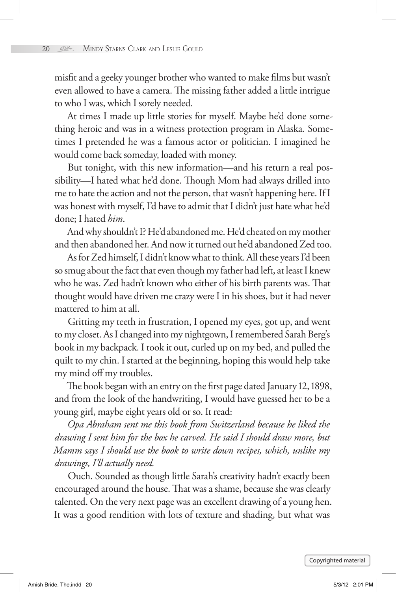misfit and a geeky younger brother who wanted to make films but wasn't even allowed to have a camera. The missing father added a little intrigue to who I was, which I sorely needed.

At times I made up little stories for myself. Maybe he'd done something heroic and was in a witness protection program in Alaska. Sometimes I pretended he was a famous actor or politician. I imagined he would come back someday, loaded with money.

But tonight, with this new information—and his return a real possibility—I hated what he'd done. Though Mom had always drilled into me to hate the action and not the person, that wasn't happening here. If I was honest with myself, I'd have to admit that I didn't just hate what he'd done; I hated *him*.

And why shouldn't I? He'd abandoned me. He'd cheated on my mother and then abandoned her. And now it turned out he'd abandoned Zed too.

As for Zed himself, I didn't know what to think. All these years I'd been so smug about the fact that even though my father had left, at least I knew who he was. Zed hadn't known who either of his birth parents was. That thought would have driven me crazy were I in his shoes, but it had never mattered to him at all.

Gritting my teeth in frustration, I opened my eyes, got up, and went to my closet. As I changed into my nightgown, I remembered Sarah Berg's book in my backpack. I took it out, curled up on my bed, and pulled the quilt to my chin. I started at the beginning, hoping this would help take my mind off my troubles.

The book began with an entry on the first page dated January 12, 1898, and from the look of the handwriting, I would have guessed her to be a young girl, maybe eight years old or so. It read:

*Opa Abraham sent me this book from Switzerland because he liked the drawing I sent him for the box he carved. He said I should draw more, but Mamm says I should use the book to write down recipes, which, unlike my drawings, I'll actually need.* 

Ouch. Sounded as though little Sarah's creativity hadn't exactly been encouraged around the house. That was a shame, because she was clearly talented. On the very next page was an excellent drawing of a young hen. It was a good rendition with lots of texture and shading, but what was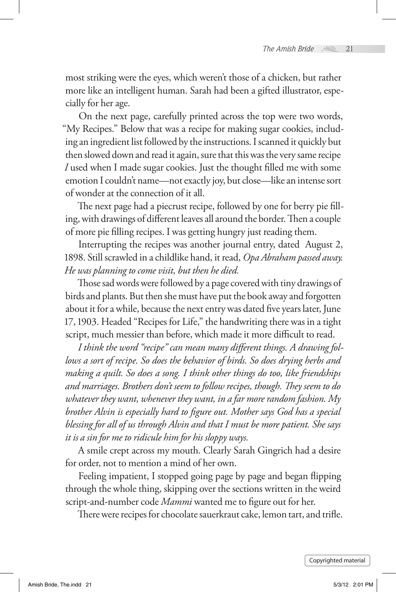most striking were the eyes, which weren't those of a chicken, but rather more like an intelligent human. Sarah had been a gifted illustrator, especially for her age.

On the next page, carefully printed across the top were two words, "My Recipes." Below that was a recipe for making sugar cookies, including an ingredient list followed by the instructions. I scanned it quickly but then slowed down and read it again, sure that this was the very same recipe *I* used when I made sugar cookies. Just the thought filled me with some emotion I couldn't name—not exactly joy, but close—like an intense sort of wonder at the connection of it all.

The next page had a piecrust recipe, followed by one for berry pie filling, with drawings of different leaves all around the border. Then a couple of more pie filling recipes. I was getting hungry just reading them.

Interrupting the recipes was another journal entry, dated August 2, 1898. Still scrawled in a childlike hand, it read, *Opa Abraham passed away. He was planning to come visit, but then he died.* 

Those sad words were followed by a page covered with tiny drawings of birds and plants. But then she must have put the book away and forgotten about it for a while, because the next entry was dated five years later, June 17, 1903. Headed "Recipes for Life," the handwriting there was in a tight script, much messier than before, which made it more difficult to read.

*I think the word "recipe" can mean many different things. A drawing follows a sort of recipe. So does the behavior of birds. So does drying herbs and making a quilt. So does a song. I think other things do too, like friendships and marriages. Brothers don't seem to follow recipes, though. They seem to do whatever they want, whenever they want, in a far more random fashion. My brother Alvin is especially hard to figure out. Mother says God has a special blessing for all of us through Alvin and that I must be more patient. She says it is a sin for me to ridicule him for his sloppy ways.*

A smile crept across my mouth. Clearly Sarah Gingrich had a desire for order, not to mention a mind of her own.

Feeling impatient, I stopped going page by page and began flipping through the whole thing, skipping over the sections written in the weird script-and-number code *Mammi* wanted me to figure out for her.

There were recipes for chocolate sauerkraut cake, lemon tart, and trifle.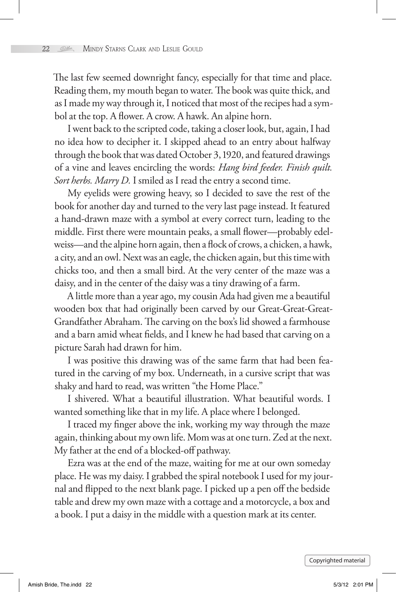The last few seemed downright fancy, especially for that time and place. Reading them, my mouth began to water. The book was quite thick, and as I made my way through it, I noticed that most of the recipes had a symbol at the top. A flower. A crow. A hawk. An alpine horn.

I went back to the scripted code, taking a closer look, but, again, I had no idea how to decipher it. I skipped ahead to an entry about halfway through the book that was dated October 3, 1920, and featured drawings of a vine and leaves encircling the words: *Hang bird feeder. Finish quilt. Sort herbs. Marry D.* I smiled as I read the entry a second time.

My eyelids were growing heavy, so I decided to save the rest of the book for another day and turned to the very last page instead. It featured a hand-drawn maze with a symbol at every correct turn, leading to the middle. First there were mountain peaks, a small flower—probably edelweiss—and the alpine horn again, then a flock of crows, a chicken, a hawk, a city, and an owl. Next was an eagle, the chicken again, but this time with chicks too, and then a small bird. At the very center of the maze was a daisy, and in the center of the daisy was a tiny drawing of a farm.

A little more than a year ago, my cousin Ada had given me a beautiful wooden box that had originally been carved by our Great-Great-Great-Grandfather Abraham. The carving on the box's lid showed a farmhouse and a barn amid wheat fields, and I knew he had based that carving on a picture Sarah had drawn for him.

I was positive this drawing was of the same farm that had been featured in the carving of my box. Underneath, in a cursive script that was shaky and hard to read, was written "the Home Place."

I shivered. What a beautiful illustration. What beautiful words. I wanted something like that in my life. A place where I belonged.

I traced my finger above the ink, working my way through the maze again, thinking about my own life. Mom was at one turn. Zed at the next. My father at the end of a blocked-off pathway.

Ezra was at the end of the maze, waiting for me at our own someday place. He was my daisy. I grabbed the spiral notebook I used for my journal and flipped to the next blank page. I picked up a pen off the bedside table and drew my own maze with a cottage and a motorcycle, a box and a book. I put a daisy in the middle with a question mark at its center.